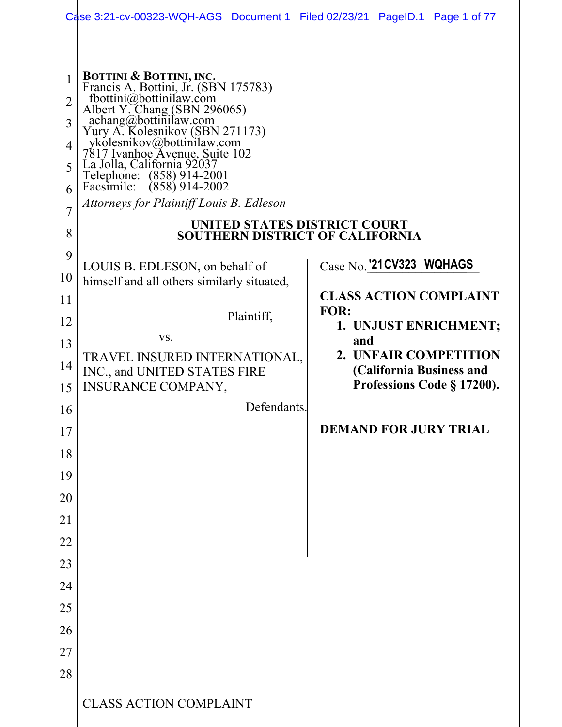|                 | Case 3:21-cv-00323-WQH-AGS Document 1 Filed 02/23/21 PageID.1 Page 1 of 77                                             |                                                   |  |  |  |
|-----------------|------------------------------------------------------------------------------------------------------------------------|---------------------------------------------------|--|--|--|
|                 |                                                                                                                        |                                                   |  |  |  |
|                 | <b>BOTTINI &amp; BOTTINI, INC.</b><br>Francis A. Bottini, Jr. (SBN 175783)                                             |                                                   |  |  |  |
| $\overline{2}$  | fbottini@bottinilaw.com<br>Albert Y. Chang (SBN 296065)                                                                |                                                   |  |  |  |
| 3               | achang@bottinilaw.com<br>Yury A. Kolesnikov (SBN 271173)<br>ykolesnikov@bottinilaw.com                                 |                                                   |  |  |  |
| $\overline{4}$  |                                                                                                                        |                                                   |  |  |  |
| 5               | 7817 Ivanhoe Avenue, Suite 102<br>La Jolla, California 92037<br>Telephone: (858) 914-2001<br>Facsimile: (858) 914-2002 |                                                   |  |  |  |
| 6               |                                                                                                                        |                                                   |  |  |  |
| $\overline{7}$  | Attorneys for Plaintiff Louis B. Edleson                                                                               |                                                   |  |  |  |
| 8               | UNITED STATES DISTRICT COURT<br><b>SOUTHERN DISTRICT OF CALIFORNIA</b>                                                 |                                                   |  |  |  |
| 9               | LOUIS B. EDLESON, on behalf of                                                                                         | Case No. '21 CV323 WQHAGS                         |  |  |  |
| 10              | himself and all others similarly situated,                                                                             |                                                   |  |  |  |
| 11              |                                                                                                                        | <b>CLASS ACTION COMPLAINT</b>                     |  |  |  |
| 12              | Plaintiff,                                                                                                             | FOR:<br>1. UNJUST ENRICHMENT;                     |  |  |  |
| 13              | VS.                                                                                                                    | and                                               |  |  |  |
| 14              | TRAVEL INSURED INTERNATIONAL,<br>INC., and UNITED STATES FIRE                                                          | 2. UNFAIR COMPETITION<br>(California Business and |  |  |  |
| 15              | INSURANCE COMPANY,                                                                                                     | Professions Code § 17200).                        |  |  |  |
| 16 <sup>1</sup> | Defendants.                                                                                                            |                                                   |  |  |  |
| 17              |                                                                                                                        | <b>DEMAND FOR JURY TRIAL</b>                      |  |  |  |
| 18              |                                                                                                                        |                                                   |  |  |  |
| 19              |                                                                                                                        |                                                   |  |  |  |
| 20              |                                                                                                                        |                                                   |  |  |  |
| 21              |                                                                                                                        |                                                   |  |  |  |
| 22              |                                                                                                                        |                                                   |  |  |  |
| 23              |                                                                                                                        |                                                   |  |  |  |
| 24              |                                                                                                                        |                                                   |  |  |  |
| 25              |                                                                                                                        |                                                   |  |  |  |
| 26              |                                                                                                                        |                                                   |  |  |  |
| 27              |                                                                                                                        |                                                   |  |  |  |
| 28              |                                                                                                                        |                                                   |  |  |  |
|                 |                                                                                                                        |                                                   |  |  |  |
|                 | <b>CLASS ACTION COMPLAINT</b>                                                                                          |                                                   |  |  |  |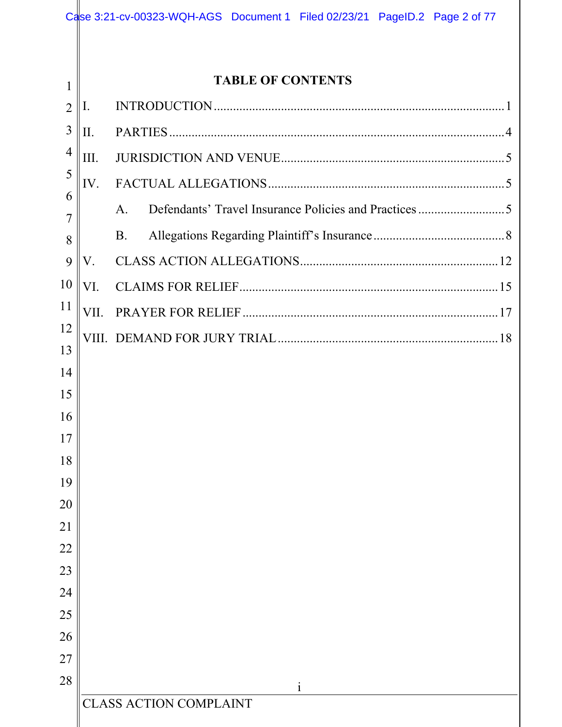|                |                          | Case 3:21-cv-00323-WQH-AGS Document 1 Filed 02/23/21 PageID.2 Page 2 of 77 |  |  |  |  |
|----------------|--------------------------|----------------------------------------------------------------------------|--|--|--|--|
|                |                          |                                                                            |  |  |  |  |
| 1              | <b>TABLE OF CONTENTS</b> |                                                                            |  |  |  |  |
| $\overline{2}$ | Ι.                       |                                                                            |  |  |  |  |
| 3              | Π.                       |                                                                            |  |  |  |  |
| 4              | Ш.                       |                                                                            |  |  |  |  |
| 5              | IV.                      |                                                                            |  |  |  |  |
| 6              |                          | A.                                                                         |  |  |  |  |
| 7              |                          |                                                                            |  |  |  |  |
| 8              |                          | <b>B.</b>                                                                  |  |  |  |  |
| 9              | V.                       |                                                                            |  |  |  |  |
| 10             | VI.                      |                                                                            |  |  |  |  |
| 11             | VII.                     |                                                                            |  |  |  |  |
| 12<br>13       |                          |                                                                            |  |  |  |  |
| 14             |                          |                                                                            |  |  |  |  |
| 15             |                          |                                                                            |  |  |  |  |
| 16             |                          |                                                                            |  |  |  |  |
| 17             |                          |                                                                            |  |  |  |  |
| 18             |                          |                                                                            |  |  |  |  |
| 19             |                          |                                                                            |  |  |  |  |
| 20             |                          |                                                                            |  |  |  |  |
| 21             |                          |                                                                            |  |  |  |  |
| 22             |                          |                                                                            |  |  |  |  |
| 23             |                          |                                                                            |  |  |  |  |
| 24             |                          |                                                                            |  |  |  |  |
| 25             |                          |                                                                            |  |  |  |  |
| 26<br>27       |                          |                                                                            |  |  |  |  |
| 28             |                          |                                                                            |  |  |  |  |
|                |                          | $\mathbf{i}$<br><b>CLASS ACTION COMPLAINT</b>                              |  |  |  |  |
|                |                          |                                                                            |  |  |  |  |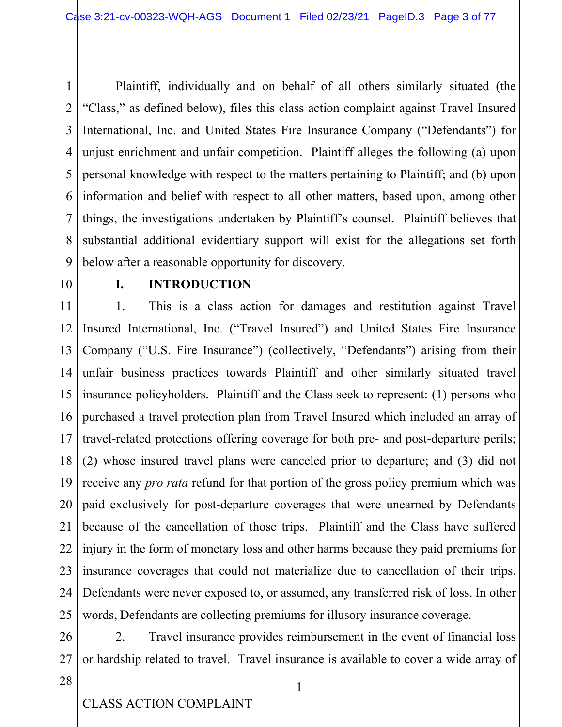Plaintiff, individually and on behalf of all others similarly situated (the  $\mathbf{1}$  $\overline{2}$ "Class," as defined below), files this class action complaint against Travel Insured 3 International, Inc. and United States Fire Insurance Company ("Defendants") for unjust enrichment and unfair competition. Plaintiff alleges the following (a) upon 4 5 personal knowledge with respect to the matters pertaining to Plaintiff; and (b) upon 6 information and belief with respect to all other matters, based upon, among other 7 things, the investigations undertaken by Plaintiff's counsel. Plaintiff believes that substantial additional evidentiary support will exist for the allegations set forth 8 below after a reasonable opportunity for discovery. 9

10

### **INTRODUCTION** L.

11  $\mathbf{1}$ . This is a class action for damages and restitution against Travel Insured International, Inc. ("Travel Insured") and United States Fire Insurance 12 13 Company ("U.S. Fire Insurance") (collectively, "Defendants") arising from their  $14$ unfair business practices towards Plaintiff and other similarly situated travel insurance policyholders. Plaintiff and the Class seek to represent: (1) persons who 15 16 purchased a travel protection plan from Travel Insured which included an array of 17 travel-related protections offering coverage for both pre- and post-departure perils; 18 l (2) whose insured travel plans were canceled prior to departure; and (3) did not 19 receive any *pro rata* refund for that portion of the gross policy premium which was 20 paid exclusively for post-departure coverages that were unearned by Defendants 21 because of the cancellation of those trips. Plaintiff and the Class have suffered 22 injury in the form of monetary loss and other harms because they paid premiums for 23 insurance coverages that could not materialize due to cancellation of their trips. 24 Defendants were never exposed to, or assumed, any transferred risk of loss. In other 25 words, Defendants are collecting premiums for illusory insurance coverage.

26 Travel insurance provides reimbursement in the event of financial loss 2. 27 or hardship related to travel. Travel insurance is available to cover a wide array of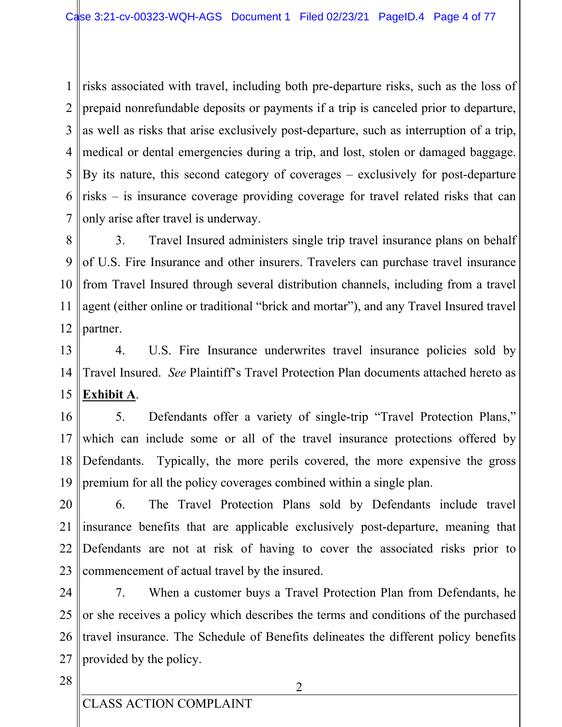risks associated with travel, including both pre-departure risks, such as the loss of  $1<sup>1</sup>$  $\overline{2}$ prepaid nonrefundable deposits or payments if a trip is canceled prior to departure, as well as risks that arise exclusively post-departure, such as interruption of a trip, 3 medical or dental emergencies during a trip, and lost, stolen or damaged baggage. 4 5 By its nature, this second category of coverages – exclusively for post-departure risks – is insurance coverage providing coverage for travel related risks that can 6 7 only arise after travel is underway.

8 3. Travel Insured administers single trip travel insurance plans on behalf 9 of U.S. Fire Insurance and other insurers. Travelers can purchase travel insurance 10 from Travel Insured through several distribution channels, including from a travel 11 agent (either online or traditional "brick and mortar"), and any Travel Insured travel 12 partner.

13  $\overline{4}$ . U.S. Fire Insurance underwrites travel insurance policies sold by 14 Travel Insured. See Plaintiff's Travel Protection Plan documents attached hereto as Exhibit A. 15

Defendants offer a variety of single-trip "Travel Protection Plans," 16 5. which can include some or all of the travel insurance protections offered by 17 18 Defendants. Typically, the more perils covered, the more expensive the gross 19 premium for all the policy coverages combined within a single plan.

20 The Travel Protection Plans sold by Defendants include travel 6. 21 insurance benefits that are applicable exclusively post-departure, meaning that 22 Defendants are not at risk of having to cover the associated risks prior to 23 commencement of actual travel by the insured.

24 7. When a customer buys a Travel Protection Plan from Defendants, he 25 or she receives a policy which describes the terms and conditions of the purchased travel insurance. The Schedule of Benefits delineates the different policy benefits 26 27 provided by the policy.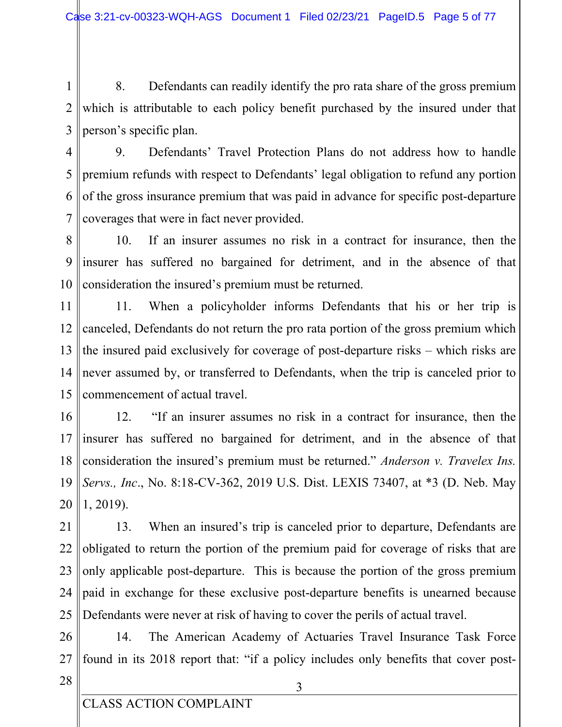8. Defendants can readily identify the pro rata share of the gross premium  $\mathbf{1}$  $\overline{2}$ which is attributable to each policy benefit purchased by the insured under that 3 person's specific plan.

 $\overline{4}$ 9. Defendants' Travel Protection Plans do not address how to handle 5 premium refunds with respect to Defendants' legal obligation to refund any portion 6 of the gross insurance premium that was paid in advance for specific post-departure 7 coverages that were in fact never provided.

If an insurer assumes no risk in a contract for insurance, then the  $10.$ 8 9 insurer has suffered no bargained for detriment, and in the absence of that 10 consideration the insured's premium must be returned.

11 11. When a policyholder informs Defendants that his or her trip is 12 canceled, Defendants do not return the pro rata portion of the gross premium which 13 the insured paid exclusively for coverage of post-departure risks – which risks are  $14$ never assumed by, or transferred to Defendants, when the trip is canceled prior to commencement of actual travel. 15

16 12. "If an insurer assumes no risk in a contract for insurance, then the insurer has suffered no bargained for detriment, and in the absence of that 17 18 consideration the insured's premium must be returned." Anderson v. Travelex Ins. Servs., Inc., No. 8:18-CV-362, 2019 U.S. Dist. LEXIS 73407, at \*3 (D. Neb. May 19 20  $1, 2019$ ).

21 13. When an insured's trip is canceled prior to departure, Defendants are 22 obligated to return the portion of the premium paid for coverage of risks that are 23 only applicable post-departure. This is because the portion of the gross premium 24 paid in exchange for these exclusive post-departure benefits is unearned because 25 Defendants were never at risk of having to cover the perils of actual travel.

26 The American Academy of Actuaries Travel Insurance Task Force 14. 27 found in its 2018 report that: "if a policy includes only benefits that cover post-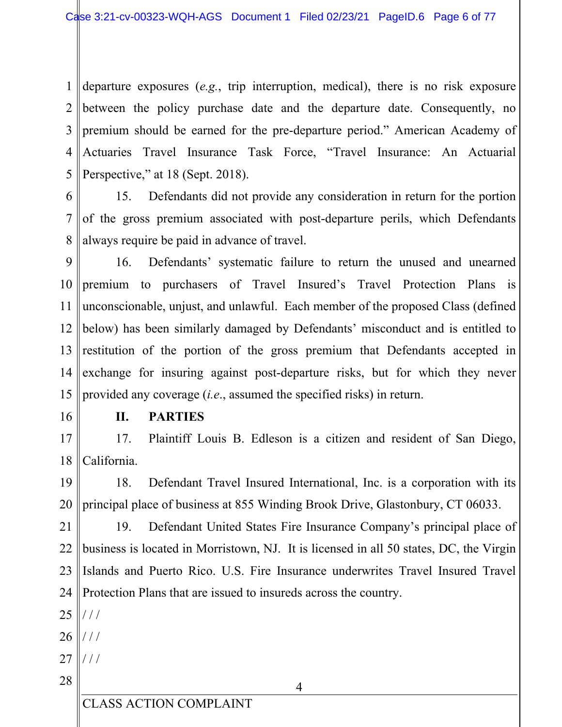departure exposures  $(e.g., tip)$  interruption, medical), there is no risk exposure  $1<sup>1</sup>$  $\overline{2}$ between the policy purchase date and the departure date. Consequently, no  $\overline{3}$ premium should be earned for the pre-departure period." American Academy of Actuaries Travel Insurance Task Force, "Travel Insurance: An Actuarial 4 5 Perspective," at 18 (Sept. 2018).

6 15. Defendants did not provide any consideration in return for the portion  $\overline{7}$ of the gross premium associated with post-departure perils, which Defendants 8 always require be paid in advance of travel.

9 16. Defendants' systematic failure to return the unused and unearned 10 premium to purchasers of Travel Insured's Travel Protection Plans is 11 unconscionable, unjust, and unlawful. Each member of the proposed Class (defined below) has been similarly damaged by Defendants' misconduct and is entitled to 12 13 restitution of the portion of the gross premium that Defendants accepted in exchange for insuring against post-departure risks, but for which they never  $14$ 15 provided any coverage  $(i.e.,$  assumed the specified risks) in return.

16

### **II. PARTIES**

 $17$ Plaintiff Louis B. Edleson is a citizen and resident of San Diego, 17. 18 California.

19 18. Defendant Travel Insured International, Inc. is a corporation with its 20 principal place of business at 855 Winding Brook Drive, Glastonbury, CT 06033.

 $21$ 19. Defendant United States Fire Insurance Company's principal place of 22 business is located in Morristown, NJ. It is licensed in all 50 states, DC, the Virgin 23 Islands and Puerto Rico. U.S. Fire Insurance underwrites Travel Insured Travel 24 Protection Plans that are issued to insureds across the country.

 $25$   $\frac{\frac{1}{2}}{\frac{1}{2}}$ 

- 26  $\frac{1}{1}$
- 27  $111$
- 28

 $\overline{4}$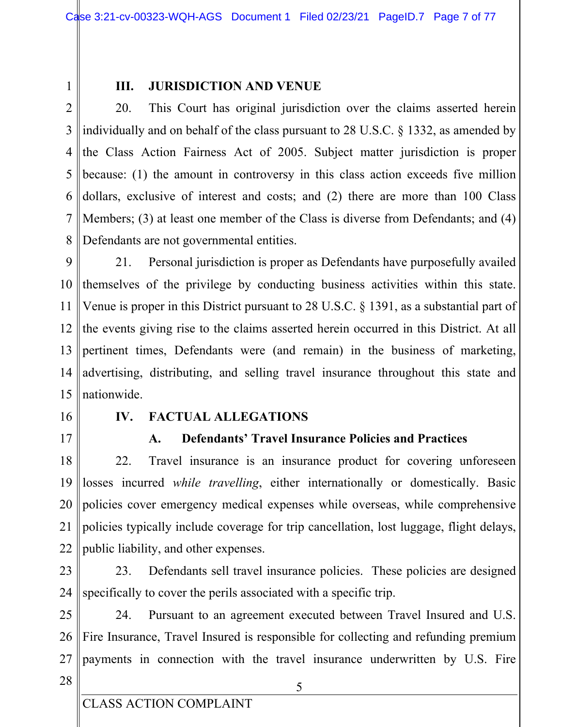$\mathbf{1}$ 

### III. **JURISDICTION AND VENUE**

 $\overline{2}$ 20. This Court has original jurisdiction over the claims asserted herein 3 individually and on behalf of the class pursuant to 28 U.S.C.  $\S$  1332, as amended by the Class Action Fairness Act of 2005. Subject matter jurisdiction is proper  $\overline{4}$ 5 because: (1) the amount in controversy in this class action exceeds five million 6 dollars, exclusive of interest and costs; and (2) there are more than 100 Class 7 Members; (3) at least one member of the Class is diverse from Defendants; and (4) 8 Defendants are not governmental entities.

9 21. Personal jurisdiction is proper as Defendants have purposefully availed 10 themselves of the privilege by conducting business activities within this state. 11 Venue is proper in this District pursuant to 28 U.S.C.  $\S$  1391, as a substantial part of the events giving rise to the claims asserted herein occurred in this District. At all 12 13 pertinent times, Defendants were (and remain) in the business of marketing,  $14$ advertising, distributing, and selling travel insurance throughout this state and nationwide. 15

- 16
- $17$

#### $\mathbf{IV}_{\text{}}$ **FACTUAL ALLEGATIONS**

#### **Defendants' Travel Insurance Policies and Practices**  $\mathbf{A}$ .

18 22. Travel insurance is an insurance product for covering unforeseen 19 losses incurred *while travelling*, either internationally or domestically. Basic 20 policies cover emergency medical expenses while overseas, while comprehensive 21 policies typically include coverage for trip cancellation, lost luggage, flight delays, 22 public liability, and other expenses.

23 23. Defendants sell travel insurance policies. These policies are designed 24 specifically to cover the perils associated with a specific trip.

25 Pursuant to an agreement executed between Travel Insured and U.S. 24. 26 Fire Insurance, Travel Insured is responsible for collecting and refunding premium 27 payments in connection with the travel insurance underwritten by U.S. Fire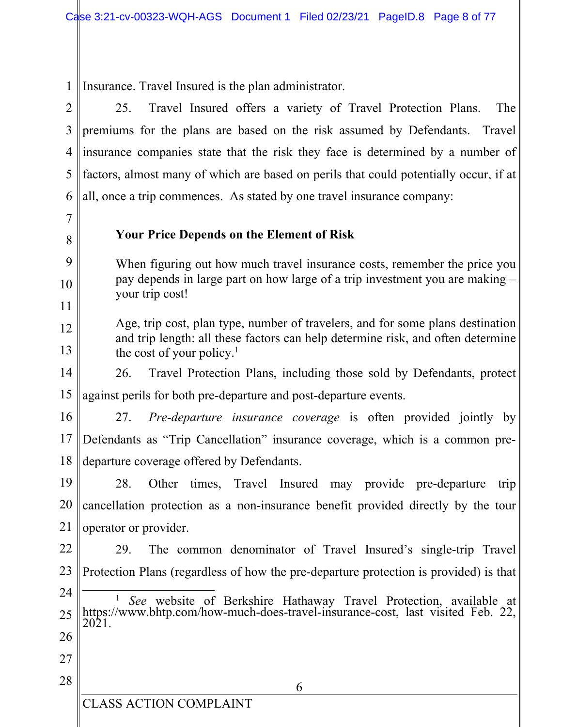Insurance. Travel Insured is the plan administrator.  $\mathbf{1}$ 

 $\overline{2}$ Travel Insured offers a variety of Travel Protection Plans. 25. The 3 premiums for the plans are based on the risk assumed by Defendants. Travel  $\overline{4}$ insurance companies state that the risk they face is determined by a number of factors, almost many of which are based on perils that could potentially occur, if at 5 6 all, once a trip commences. As stated by one travel insurance company:

7

8

9

10

11

# **Your Price Depends on the Element of Risk**

When figuring out how much travel insurance costs, remember the price you pay depends in large part on how large of a trip investment you are making – your trip cost!

Age, trip cost, plan type, number of travelers, and for some plans destination 12 and trip length: all these factors can help determine risk, and often determine 13 the cost of your policy.<sup>1</sup>

14 26. Travel Protection Plans, including those sold by Defendants, protect 15 against perils for both pre-departure and post-departure events.

16  $27.$ *Pre-departure insurance coverage* is often provided jointly by 17 Defendants as "Trip Cancellation" insurance coverage, which is a common predeparture coverage offered by Defendants. 18

19 28. Other times, Travel Insured may provide pre-departure trip 20 cancellation protection as a non-insurance benefit provided directly by the tour 21 operator or provider.

22 29. The common denominator of Travel Insured's single-trip Travel 23 Protection Plans (regardless of how the pre-departure protection is provided) is that

- 24 https://www.bhtp.com/how-much-does-travel-insurance-cost, last visited Feb. 22, 2021. See website of Berkshire Hathaway Travel Protection, available at 25 26
- 27
- 28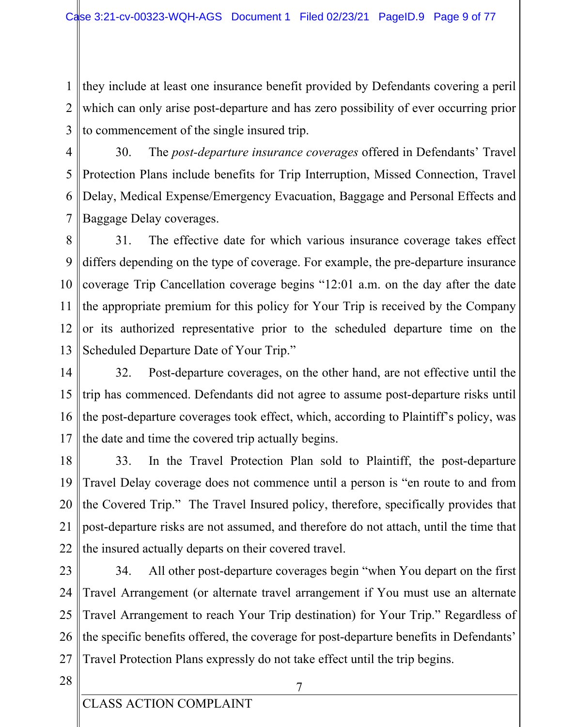they include at least one insurance benefit provided by Defendants covering a peril  $\mathbf{1}$  $\overline{2}$ which can only arise post-departure and has zero possibility of ever occurring prior 3 to commencement of the single insured trip.

 $\overline{4}$ 30. The *post-departure insurance coverages* offered in Defendants' Travel 5 Protection Plans include benefits for Trip Interruption, Missed Connection, Travel 6 Delay, Medical Expense/Emergency Evacuation, Baggage and Personal Effects and 7 Baggage Delay coverages.

8 31. The effective date for which various insurance coverage takes effect 9 differs depending on the type of coverage. For example, the pre-departure insurance 10 coverage Trip Cancellation coverage begins "12:01 a.m. on the day after the date 11 the appropriate premium for this policy for Your Trip is received by the Company 12 or its authorized representative prior to the scheduled departure time on the 13 Scheduled Departure Date of Your Trip."

14 32. Post-departure coverages, on the other hand, are not effective until the trip has commenced. Defendants did not agree to assume post-departure risks until 15 16 the post-departure coverages took effect, which, according to Plaintiff's policy, was 17 the date and time the covered trip actually begins.

18 33. In the Travel Protection Plan sold to Plaintiff, the post-departure 19 Travel Delay coverage does not commence until a person is "en route to and from 20 the Covered Trip." The Travel Insured policy, therefore, specifically provides that 21 post-departure risks are not assumed, and therefore do not attach, until the time that 22 the insured actually departs on their covered travel.

23 34. All other post-departure coverages begin "when You depart on the first 24 Travel Arrangement (or alternate travel arrangement if You must use an alternate 25 Travel Arrangement to reach Your Trip destination) for Your Trip." Regardless of 26 the specific benefits offered, the coverage for post-departure benefits in Defendants' 27 Travel Protection Plans expressly do not take effect until the trip begins.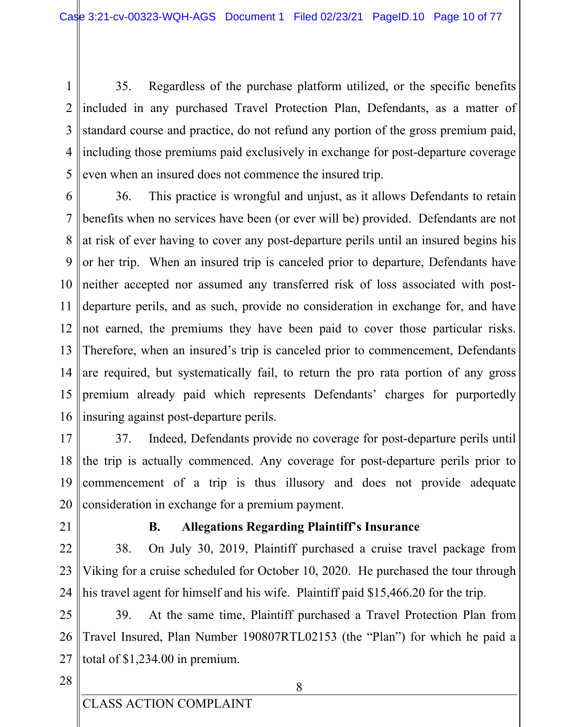35. Regardless of the purchase platform utilized, or the specific benefits  $\mathbf{1}$  $\overline{2}$ included in any purchased Travel Protection Plan, Defendants, as a matter of 3 standard course and practice, do not refund any portion of the gross premium paid, including those premiums paid exclusively in exchange for post-departure coverage 4 5 even when an insured does not commence the insured trip.

6 36. This practice is wrongful and unjust, as it allows Defendants to retain 7 benefits when no services have been (or ever will be) provided. Defendants are not 8 at risk of ever having to cover any post-departure perils until an insured begins his 9 or her trip. When an insured trip is canceled prior to departure, Defendants have 10 neither accepted nor assumed any transferred risk of loss associated with post-11 departure perils, and as such, provide no consideration in exchange for, and have not earned, the premiums they have been paid to cover those particular risks. 12 13 Therefore, when an insured's trip is canceled prior to commencement, Defendants  $14$ are required, but systematically fail, to return the pro rata portion of any gross 15 premium already paid which represents Defendants' charges for purportedly 16 insuring against post-departure perils.

 $17$ 37. Indeed, Defendants provide no coverage for post-departure perils until 18 the trip is actually commenced. Any coverage for post-departure perils prior to 19 commencement of a trip is thus illusory and does not provide adequate consideration in exchange for a premium payment. 20

21

### **B. Allegations Regarding Plaintiff's Insurance**

22 38. On July 30, 2019, Plaintiff purchased a cruise travel package from Viking for a cruise scheduled for October 10, 2020. He purchased the tour through 23 24 his travel agent for himself and his wife. Plaintiff paid \$15,466.20 for the trip.

25 At the same time, Plaintiff purchased a Travel Protection Plan from 39. Travel Insured, Plan Number 190807RTL02153 (the "Plan") for which he paid a 26 total of \$1,234.00 in premium. 27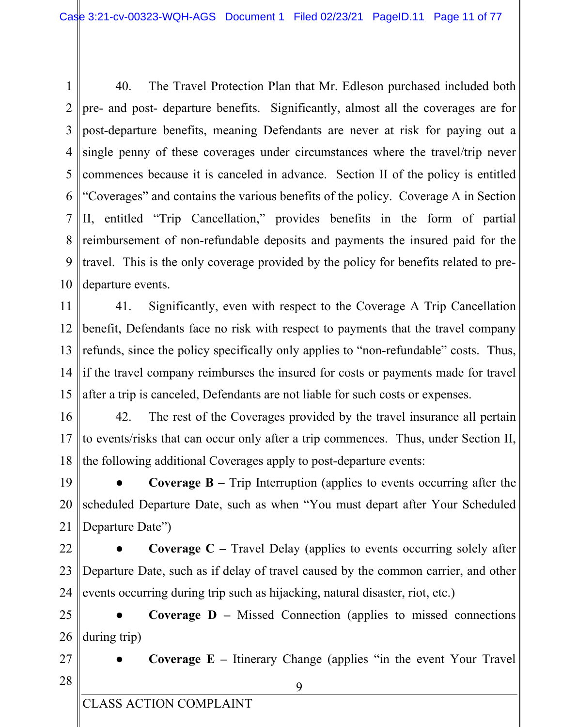40. The Travel Protection Plan that Mr. Edleson purchased included both  $\mathbf{1}$  $\overline{2}$ pre- and post- departure benefits. Significantly, almost all the coverages are for 3 post-departure benefits, meaning Defendants are never at risk for paying out a single penny of these coverages under circumstances where the travel/trip never 4 commences because it is canceled in advance. Section II of the policy is entitled 5 6 "Coverages" and contains the various benefits of the policy. Coverage A in Section  $\overline{7}$ II, entitled "Trip Cancellation," provides benefits in the form of partial reimbursement of non-refundable deposits and payments the insured paid for the 8 9 travel. This is the only coverage provided by the policy for benefits related to pre-10 departure events.

11 41. Significantly, even with respect to the Coverage A Trip Cancellation 12 benefit, Defendants face no risk with respect to payments that the travel company 13 refunds, since the policy specifically only applies to "non-refundable" costs. Thus,  $14$ if the travel company reimburses the insured for costs or payments made for travel 15 after a trip is canceled, Defendants are not liable for such costs or expenses.

16 42. The rest of the Coverages provided by the travel insurance all pertain 17 to events/risks that can occur only after a trip commences. Thus, under Section II, 18 the following additional Coverages apply to post-departure events:

19 **Coverage B** – Trip Interruption (applies to events occurring after the 20 scheduled Departure Date, such as when "You must depart after Your Scheduled 21 Departure Date")

22 **Coverage C** – Travel Delay (applies to events occurring solely after 23 Departure Date, such as if delay of travel caused by the common carrier, and other 24 events occurring during trip such as hijacking, natural disaster, riot, etc.)

25 **Coverage D** – Missed Connection (applies to missed connections during trip) 26

- 27
- Coverage  $E$  Itinerary Change (applies "in the event Your Travel")
- 28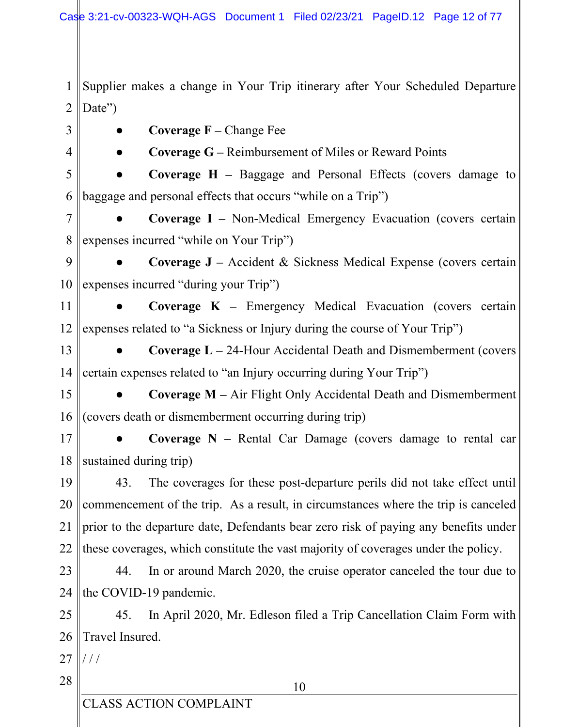Supplier makes a change in Your Trip itinerary after Your Scheduled Departure  $\mathbf{1}$  $\overline{2}$ Date")

- 3  $\overline{4}$
- **Coverage**  $F$  Change Fee
- 
- **Coverage G Reimbursement of Miles or Reward Points**

5 **Coverage H** – Baggage and Personal Effects (covers damage to baggage and personal effects that occurs "while on a Trip") 6

 $\overline{7}$ Coverage I - Non-Medical Emergency Evacuation (covers certain 8 expenses incurred "while on Your Trip")

9 Coverage J – Accident & Sickness Medical Expense (covers certain expenses incurred "during your Trip") 10

Coverage  $K$  – Emergency Medical Evacuation (covers certain 11 12 expenses related to "a Sickness or Injury during the course of Your Trip")

- 13 **Coverage L**  $-$  24-Hour Accidental Death and Dismemberment (covers certain expenses related to "an Injury occurring during Your Trip")  $14$
- 15

**Coverage M** – Air Flight Only Accidental Death and Dismemberment 16 (covers death or dismemberment occurring during trip)

17 Coverage  $N$  – Rental Car Damage (covers damage to rental car 18 sustained during trip)

19 43. The coverages for these post-departure perils did not take effect until commencement of the trip. As a result, in circumstances where the trip is canceled 20 21 prior to the departure date, Defendants bear zero risk of paying any benefits under 22 these coverages, which constitute the vast majority of coverages under the policy.

23 44. In or around March 2020, the cruise operator canceled the tour due to 24 the COVID-19 pandemic.

25 45. In April 2020, Mr. Edleson filed a Trip Cancellation Claim Form with 26 Travel Insured.

27  $111$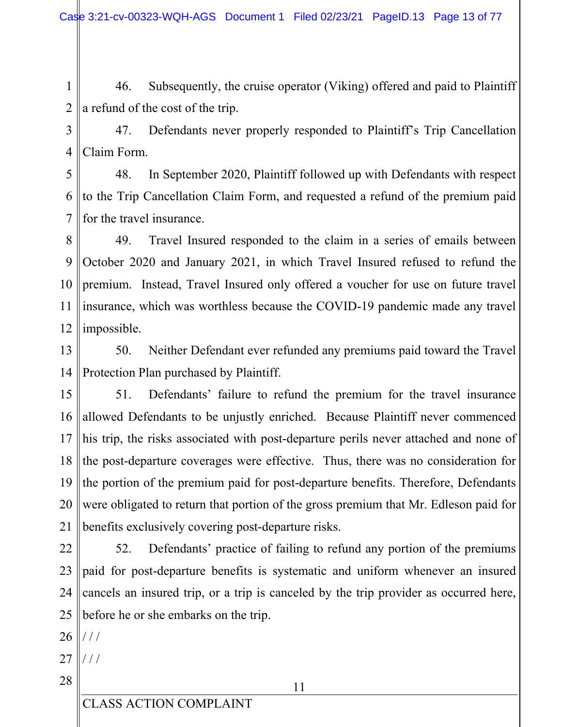46. Subsequently, the cruise operator (Viking) offered and paid to Plaintiff  $\mathbf{1}$  $\overline{2}$ a refund of the cost of the trip.

 $\overline{3}$ 

47. Defendants never properly responded to Plaintiff's Trip Cancellation Claim Form.  $\overline{4}$ 

In September 2020, Plaintiff followed up with Defendants with respect 5 48. 6 to the Trip Cancellation Claim Form, and requested a refund of the premium paid  $\overline{7}$ for the travel insurance.

Travel Insured responded to the claim in a series of emails between 49. 8 9 October 2020 and January 2021, in which Travel Insured refused to refund the 10 premium. Instead, Travel Insured only offered a voucher for use on future travel 11 insurance, which was worthless because the COVID-19 pandemic made any travel 12 impossible.

Neither Defendant ever refunded any premiums paid toward the Travel 13 50. Protection Plan purchased by Plaintiff.  $14$ 

15 Defendants' failure to refund the premium for the travel insurance 51. allowed Defendants to be unjustly enriched. Because Plaintiff never commenced  $16<sup>1</sup>$ 17 his trip, the risks associated with post-departure perils never attached and none of the post-departure coverages were effective. Thus, there was no consideration for  $18$ 19 the portion of the premium paid for post-departure benefits. Therefore, Defendants 20 were obligated to return that portion of the gross premium that Mr. Edleson paid for 21 benefits exclusively covering post-departure risks.

22 52. Defendants' practice of failing to refund any portion of the premiums 23 paid for post-departure benefits is systematic and uniform whenever an insured 24 cancels an insured trip, or a trip is canceled by the trip provider as occurred here, 25 before he or she embarks on the trip.

- 27  $111$
- 28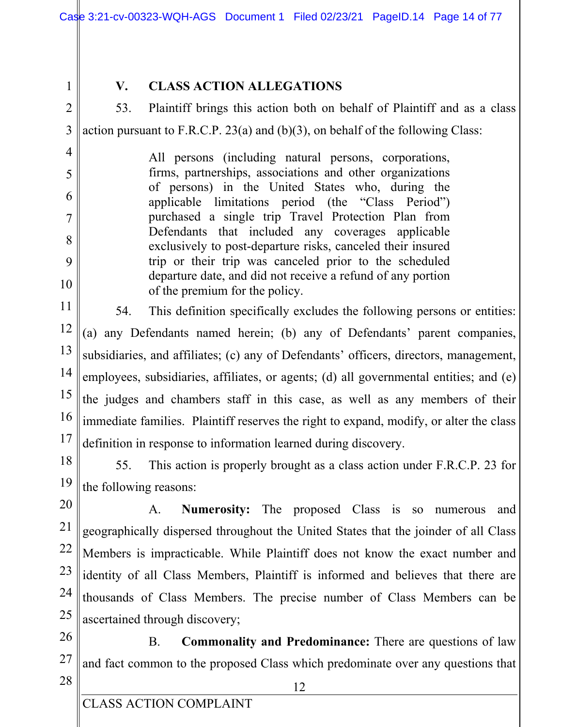$\mathbf{1}$ 

 $\overline{4}$ 

5

6

 $\overline{7}$ 

8

9

10

## $V_{\star}$ **CLASS ACTION ALLEGATIONS**

 $\overline{2}$ 53. Plaintiff brings this action both on behalf of Plaintiff and as a class  $\overline{3}$ action pursuant to F.R.C.P. 23(a) and  $(b)(3)$ , on behalf of the following Class:

> All persons (including natural persons, corporations, firms, partnerships, associations and other organizations of persons) in the United States who, during the applicable limitations period (the "Class Period") purchased a single trip Travel Protection Plan from Defendants that included any coverages applicable exclusively to post-departure risks, canceled their insured trip or their trip was canceled prior to the scheduled departure date, and did not receive a refund of any portion of the premium for the policy.

11 54. This definition specifically excludes the following persons or entities: 12 (a) any Defendants named herein; (b) any of Defendants' parent companies, 13 subsidiaries, and affiliates; (c) any of Defendants' officers, directors, management, 14 employees, subsidiaries, affiliates, or agents; (d) all governmental entities; and (e) 15 the judges and chambers staff in this case, as well as any members of their 16 immediate families. Plaintiff reserves the right to expand, modify, or alter the class 17 definition in response to information learned during discovery.

18

19

55. This action is properly brought as a class action under F.R.C.P. 23 for the following reasons:

20

 $\mathsf{A}$ . **Numerosity:** The proposed Class is so numerous and 21 geographically dispersed throughout the United States that the joinder of all Class 22 Members is impracticable. While Plaintiff does not know the exact number and 23 identity of all Class Members, Plaintiff is informed and believes that there are 24 thousands of Class Members. The precise number of Class Members can be 25 ascertained through discovery;

26 **B. Commonality and Predominance:** There are questions of law 27 and fact common to the proposed Class which predominate over any questions that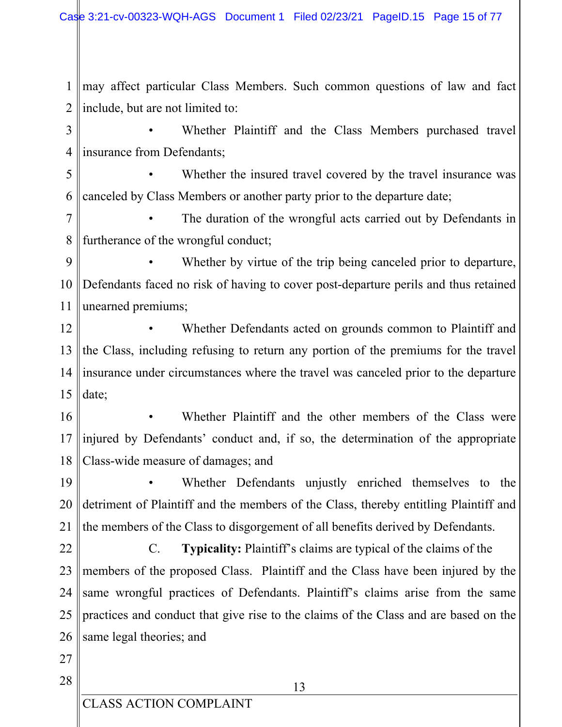may affect particular Class Members. Such common questions of law and fact  $1<sup>1</sup>$  $\overline{2}$ include, but are not limited to:

3 Whether Plaintiff and the Class Members purchased travel  $\overline{4}$ insurance from Defendants:

5 Whether the insured travel covered by the travel insurance was 6 canceled by Class Members or another party prior to the departure date;

 $\overline{7}$ The duration of the wrongful acts carried out by Defendants in furtherance of the wrongful conduct; 8

Whether by virtue of the trip being canceled prior to departure, 9 10 Defendants faced no risk of having to cover post-departure perils and thus retained 11 unearned premiums;

12 Whether Defendants acted on grounds common to Plaintiff and 13 the Class, including refusing to return any portion of the premiums for the travel 14 insurance under circumstances where the travel was canceled prior to the departure 15 date:

16 Whether Plaintiff and the other members of the Class were injured by Defendants' conduct and, if so, the determination of the appropriate 17 18 Class-wide measure of damages; and

19 Whether Defendants unjustly enriched themselves to the detriment of Plaintiff and the members of the Class, thereby entitling Plaintiff and 20 21 the members of the Class to disgorgement of all benefits derived by Defendants.

22 Typicality: Plaintiff's claims are typical of the claims of the  $C_{\cdot}$ members of the proposed Class. Plaintiff and the Class have been injured by the 23 24 same wrongful practices of Defendants. Plaintiff's claims arise from the same practices and conduct that give rise to the claims of the Class and are based on the 25 same legal theories; and 26

27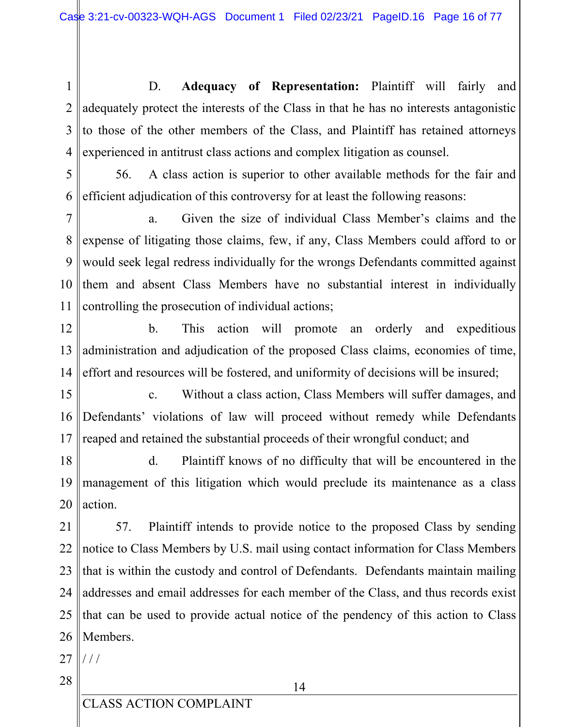D. Adequacy of Representation: Plaintiff will fairly and  $\mathbf{1}$ adequately protect the interests of the Class in that he has no interests antagonistic  $\overline{2}$ 3 to those of the other members of the Class, and Plaintiff has retained attorneys experienced in antitrust class actions and complex litigation as counsel. 4

5 56. A class action is superior to other available methods for the fair and 6 efficient adjudication of this controversy for at least the following reasons:

 $\overline{7}$ Given the size of individual Class Member's claims and the a. 8 expense of litigating those claims, few, if any, Class Members could afford to or 9 would seek legal redress individually for the wrongs Defendants committed against 10 them and absent Class Members have no substantial interest in individually 11 controlling the prosecution of individual actions;

12  $\mathbf{b}$ . This action will promote orderly and expeditious an 13 administration and adjudication of the proposed Class claims, economies of time, 14 effort and resources will be fostered, and uniformity of decisions will be insured;

15 Without a class action, Class Members will suffer damages, and  $\mathbf{c}$ . Defendants' violations of law will proceed without remedy while Defendants 16 17 reaped and retained the substantial proceeds of their wrongful conduct; and

18  $d_{\cdot}$ Plaintiff knows of no difficulty that will be encountered in the 19 management of this litigation which would preclude its maintenance as a class 20 action.

21 57. Plaintiff intends to provide notice to the proposed Class by sending 22 notice to Class Members by U.S. mail using contact information for Class Members 23 that is within the custody and control of Defendants. Defendants maintain mailing 24 addresses and email addresses for each member of the Class, and thus records exist 25 that can be used to provide actual notice of the pendency of this action to Class 26 Members.

27  $111$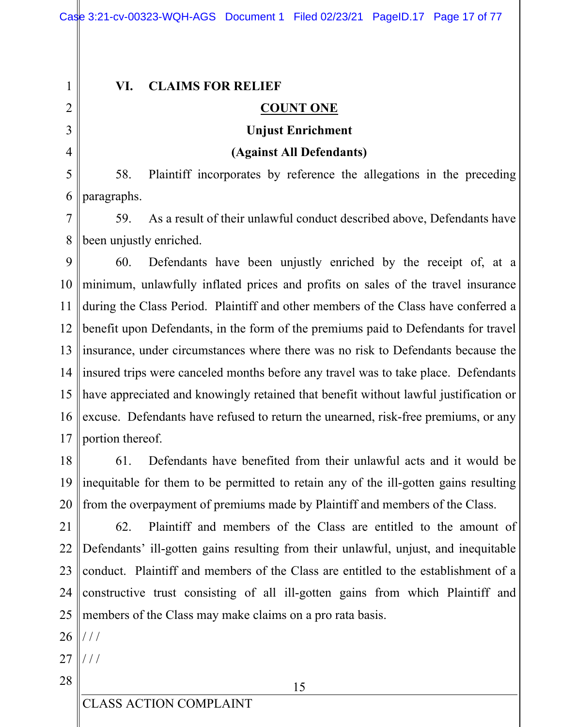$\mathbf{1}$  $\overline{2}$ 

3

 $\overline{4}$ 

#### VI. **CLAIMS FOR RELIEF**

## **COUNT ONE**

## **Unjust Enrichment**

## (Against All Defendants)

Plaintiff incorporates by reference the allegations in the preceding 5 58. paragraphs. 6

7 59. As a result of their unlawful conduct described above, Defendants have been unjustly enriched. 8

9 60. Defendants have been unjustly enriched by the receipt of, at a 10 minimum, unlawfully inflated prices and profits on sales of the travel insurance 11 during the Class Period. Plaintiff and other members of the Class have conferred a 12 benefit upon Defendants, in the form of the premiums paid to Defendants for travel 13 insurance, under circumstances where there was no risk to Defendants because the 14 linsured trips were canceled months before any travel was to take place. Defendants have appreciated and knowingly retained that benefit without lawful justification or 15  $16<sup>1</sup>$ excuse. Defendants have refused to return the unearned, risk-free premiums, or any portion thereof. 17

18 61. Defendants have benefited from their unlawful acts and it would be 19 inequitable for them to be permitted to retain any of the ill-gotten gains resulting 20 from the overpayment of premiums made by Plaintiff and members of the Class.

 $21$ 62. Plaintiff and members of the Class are entitled to the amount of 22 Defendants' ill-gotten gains resulting from their unlawful, unjust, and inequitable 23 conduct. Plaintiff and members of the Class are entitled to the establishment of a constructive trust consisting of all ill-gotten gains from which Plaintiff and 24 25 members of the Class may make claims on a pro rata basis.

26  $111$ 

27  $111$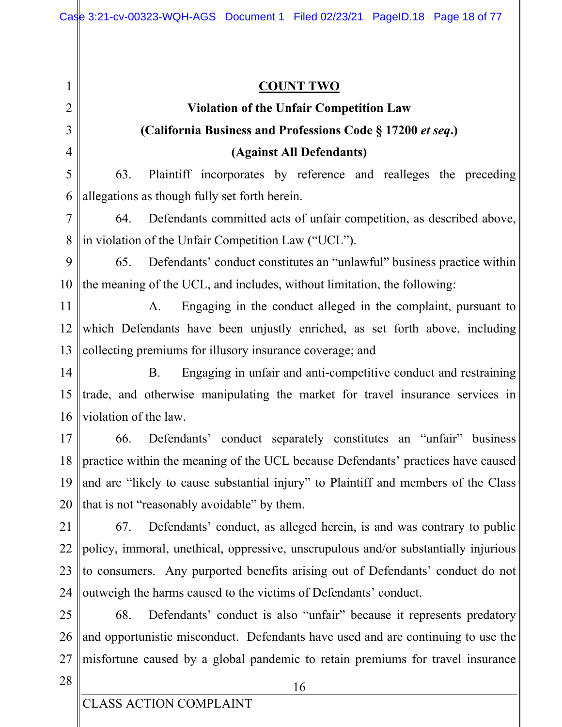**COUNT TWO**  $\mathbf{1}$ **Violation of the Unfair Competition Law** 2 3 (California Business and Professions Code § 17200 et seq.)  $\overline{4}$ (Against All Defendants) Plaintiff incorporates by reference and realleges the preceding 5 63. 6 allegations as though fully set forth herein. Defendants committed acts of unfair competition, as described above,  $\overline{7}$ 64. in violation of the Unfair Competition Law ("UCL"). 8 Defendants' conduct constitutes an "unlawful" business practice within 9 65. 10 the meaning of the UCL, and includes, without limitation, the following: 11  $A<sub>1</sub>$ Engaging in the conduct alleged in the complaint, pursuant to 12 which Defendants have been unjustly enriched, as set forth above, including collecting premiums for illusory insurance coverage; and 13 14 **B.** Engaging in unfair and anti-competitive conduct and restraining trade, and otherwise manipulating the market for travel insurance services in 15 violation of the law. 16  $17$ Defendants' conduct separately constitutes an "unfair" business 66. practice within the meaning of the UCL because Defendants' practices have caused 18 and are "likely to cause substantial injury" to Plaintiff and members of the Class 19 20 that is not "reasonably avoidable" by them. 21 67. Defendants' conduct, as alleged herein, is and was contrary to public 22 policy, immoral, unethical, oppressive, unscrupulous and/or substantially injurious 23 to consumers. Any purported benefits arising out of Defendants' conduct do not outweigh the harms caused to the victims of Defendants' conduct. 24 Defendants' conduct is also "unfair" because it represents predatory 25 68. and opportunistic misconduct. Defendants have used and are continuing to use the 26 27 misfortune caused by a global pandemic to retain premiums for travel insurance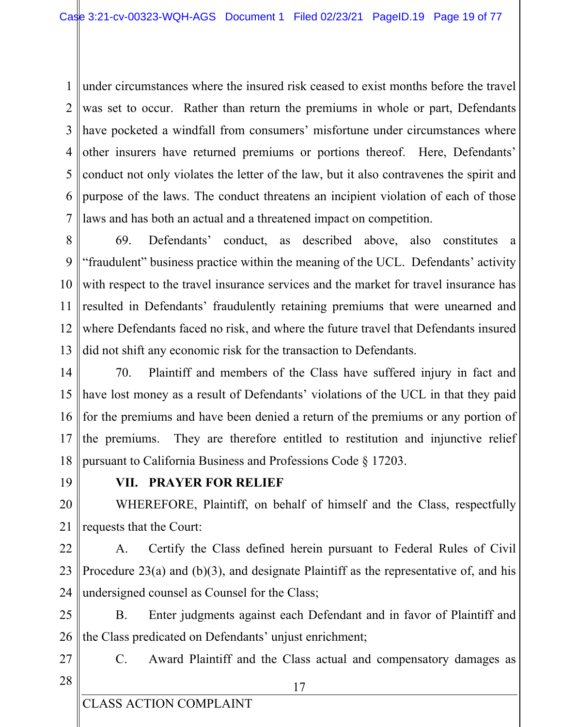under circumstances where the insured risk ceased to exist months before the travel  $1<sup>1</sup>$  $2<sup>1</sup>$ was set to occur. Rather than return the premiums in whole or part, Defendants  $3<sup>1</sup>$ have pocketed a windfall from consumers' misfortune under circumstances where other insurers have returned premiums or portions thereof. Here, Defendants' 4 5 conduct not only violates the letter of the law, but it also contravenes the spirit and 6 purpose of the laws. The conduct threatens an incipient violation of each of those 7 laws and has both an actual and a threatened impact on competition.

69. Defendants' conduct, as described above, also constitutes a 8 9 "fraudulent" business practice within the meaning of the UCL. Defendants' activity 10 with respect to the travel insurance services and the market for travel insurance has 11 resulted in Defendants' fraudulently retaining premiums that were unearned and  $12<sup>12</sup>$ where Defendants faced no risk, and where the future travel that Defendants insured 13 did not shift any economic risk for the transaction to Defendants.

14 70. Plaintiff and members of the Class have suffered injury in fact and have lost money as a result of Defendants' violations of the UCL in that they paid 15 16 for the premiums and have been denied a return of the premiums or any portion of the premiums. They are therefore entitled to restitution and injunctive relief 17 18 pursuant to California Business and Professions Code § 17203.

19

## VII. PRAYER FOR RELIEF

20 WHEREFORE, Plaintiff, on behalf of himself and the Class, respectfully 21 requests that the Court:

22

Certify the Class defined herein pursuant to Federal Rules of Civil А. 23 Procedure  $23(a)$  and (b)(3), and designate Plaintiff as the representative of, and his 24 undersigned counsel as Counsel for the Class;

25 **B.** Enter judgments against each Defendant and in favor of Plaintiff and 26 the Class predicated on Defendants' unjust enrichment;

27 28  $C_{\cdot}$ Award Plaintiff and the Class actual and compensatory damages as

**CLASS ACTION COMPLAINT**